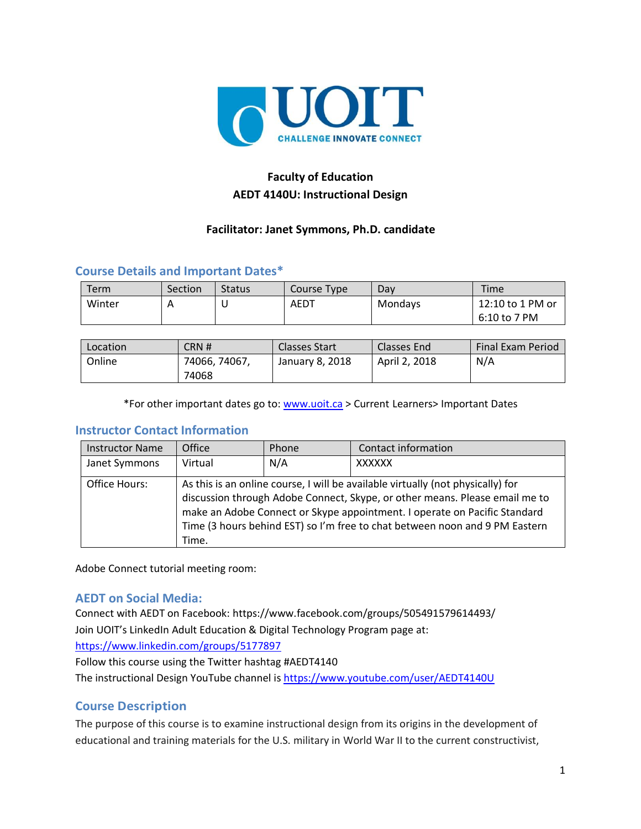

# **Faculty of Education AEDT 4140U: Instructional Design**

### **Facilitator: Janet Symmons, Ph.D. candidate**

## **Course Details and Important Dates\***

| Term   | Section | <b>Status</b> | Course Type | Dav     | <b>Time</b>      |
|--------|---------|---------------|-------------|---------|------------------|
| Winter |         | ັ             | AEDT        | Mondays | 12:10 to 1 PM or |
|        |         |               |             |         | 6:10 to 7 PM     |

| Location | CRN#          | <b>Classes Start</b> | Classes End   | <b>Final Exam Period</b> |
|----------|---------------|----------------------|---------------|--------------------------|
| Online   | 74066, 74067, | January 8, 2018      | April 2, 2018 | N/A                      |
|          | 74068         |                      |               |                          |

\*For other important dates go to: [www.uoit.ca](http://www.uoit.ca/) > Current Learners> Important Dates

#### **Instructor Contact Information**

| <b>Instructor Name</b> | Office  | Phone | Contact information                                                                                                                                                                                                                                                                                                        |
|------------------------|---------|-------|----------------------------------------------------------------------------------------------------------------------------------------------------------------------------------------------------------------------------------------------------------------------------------------------------------------------------|
| Janet Symmons          | Virtual | N/A   | XXXXXX                                                                                                                                                                                                                                                                                                                     |
| Office Hours:          | Time.   |       | As this is an online course, I will be available virtually (not physically) for<br>discussion through Adobe Connect, Skype, or other means. Please email me to<br>make an Adobe Connect or Skype appointment. I operate on Pacific Standard<br>Time (3 hours behind EST) so I'm free to chat between noon and 9 PM Eastern |

Adobe Connect tutorial meeting room:

#### **AEDT on Social Media:**

Connect with AEDT on Facebook: https://www.facebook.com/groups/505491579614493/ Join UOIT's LinkedIn Adult Education & Digital Technology Program page at: <https://www.linkedin.com/groups/5177897>

Follow this course using the Twitter hashtag #AEDT4140

The instructional Design YouTube channel is [https://www.youtube.com/user/AEDT4140U](https://www.youtube.com/user/AEDT1160U)

## **Course Description**

The purpose of this course is to examine instructional design from its origins in the development of educational and training materials for the U.S. military in World War II to the current constructivist,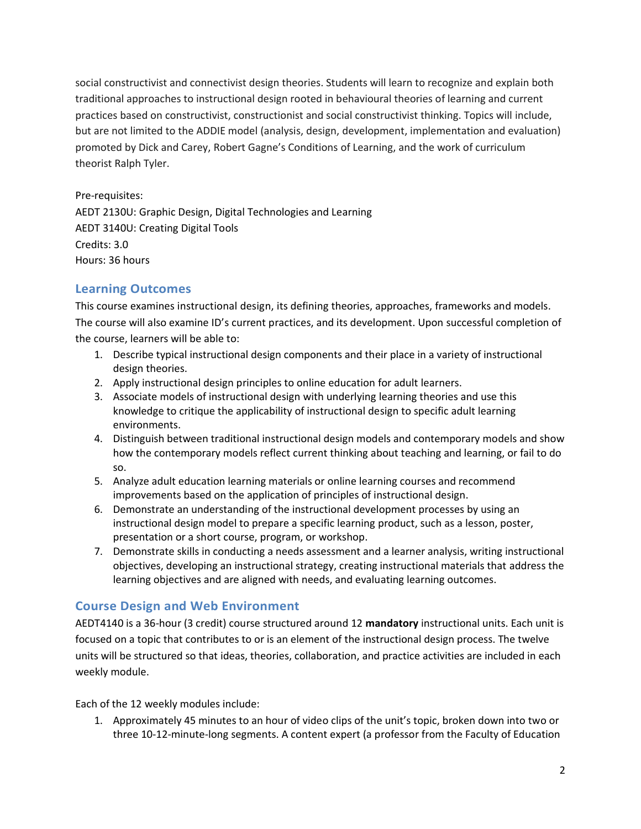social constructivist and connectivist design theories. Students will learn to recognize and explain both traditional approaches to instructional design rooted in behavioural theories of learning and current practices based on constructivist, constructionist and social constructivist thinking. Topics will include, but are not limited to the ADDIE model (analysis, design, development, implementation and evaluation) promoted by Dick and Carey, Robert Gagne's Conditions of Learning, and the work of curriculum theorist Ralph Tyler.

Pre-requisites: AEDT 2130U: Graphic Design, Digital Technologies and Learning AEDT 3140U: Creating Digital Tools Credits: 3.0 Hours: 36 hours

# **Learning Outcomes**

This course examines instructional design, its defining theories, approaches, frameworks and models. The course will also examine ID's current practices, and its development. Upon successful completion of the course, learners will be able to:

- 1. Describe typical instructional design components and their place in a variety of instructional design theories.
- 2. Apply instructional design principles to online education for adult learners.
- 3. Associate models of instructional design with underlying learning theories and use this knowledge to critique the applicability of instructional design to specific adult learning environments.
- 4. Distinguish between traditional instructional design models and contemporary models and show how the contemporary models reflect current thinking about teaching and learning, or fail to do so.
- 5. Analyze adult education learning materials or online learning courses and recommend improvements based on the application of principles of instructional design.
- 6. Demonstrate an understanding of the instructional development processes by using an instructional design model to prepare a specific learning product, such as a lesson, poster, presentation or a short course, program, or workshop.
- 7. Demonstrate skills in conducting a needs assessment and a learner analysis, writing instructional objectives, developing an instructional strategy, creating instructional materials that address the learning objectives and are aligned with needs, and evaluating learning outcomes.

# **Course Design and Web Environment**

AEDT4140 is a 36-hour (3 credit) course structured around 12 **mandatory** instructional units. Each unit is focused on a topic that contributes to or is an element of the instructional design process. The twelve units will be structured so that ideas, theories, collaboration, and practice activities are included in each weekly module.

Each of the 12 weekly modules include:

1. Approximately 45 minutes to an hour of video clips of the unit's topic, broken down into two or three 10-12-minute-long segments. A content expert (a professor from the Faculty of Education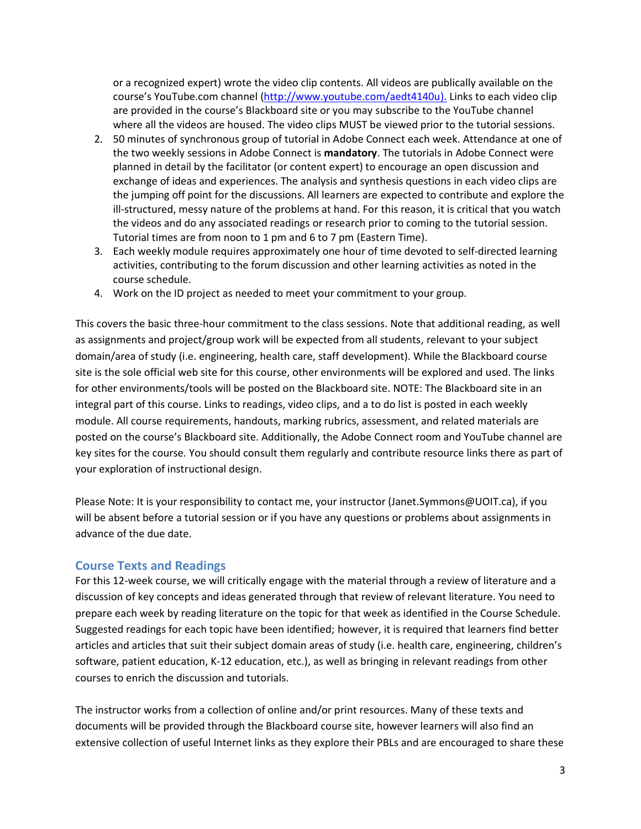or a recognized expert) wrote the video clip contents. All videos are publically available on the course's YouTube.com channel [\(http://www.youtube.com/aedt4140u\)](http://www.youtube.com/aedt4140u). Links to each video clip are provided in the course's Blackboard site or you may subscribe to the YouTube channel where all the videos are housed. The video clips MUST be viewed prior to the tutorial sessions.

- 2. 50 minutes of synchronous group of tutorial in Adobe Connect each week. Attendance at one of the two weekly sessions in Adobe Connect is **mandatory**. The tutorials in Adobe Connect were planned in detail by the facilitator (or content expert) to encourage an open discussion and exchange of ideas and experiences. The analysis and synthesis questions in each video clips are the jumping off point for the discussions. All learners are expected to contribute and explore the ill-structured, messy nature of the problems at hand. For this reason, it is critical that you watch the videos and do any associated readings or research prior to coming to the tutorial session. Tutorial times are from noon to 1 pm and 6 to 7 pm (Eastern Time).
- 3. Each weekly module requires approximately one hour of time devoted to self-directed learning activities, contributing to the forum discussion and other learning activities as noted in the course schedule.
- 4. Work on the ID project as needed to meet your commitment to your group.

This covers the basic three-hour commitment to the class sessions. Note that additional reading, as well as assignments and project/group work will be expected from all students, relevant to your subject domain/area of study (i.e. engineering, health care, staff development). While the Blackboard course site is the sole official web site for this course, other environments will be explored and used. The links for other environments/tools will be posted on the Blackboard site. NOTE: The Blackboard site in an integral part of this course. Links to readings, video clips, and a to do list is posted in each weekly module. All course requirements, handouts, marking rubrics, assessment, and related materials are posted on the course's Blackboard site. Additionally, the Adobe Connect room and YouTube channel are key sites for the course. You should consult them regularly and contribute resource links there as part of your exploration of instructional design.

Please Note: It is your responsibility to contact me, your instructor (Janet.Symmons@UOIT.ca), if you will be absent before a tutorial session or if you have any questions or problems about assignments in advance of the due date.

#### **Course Texts and Readings**

For this 12-week course, we will critically engage with the material through a review of literature and a discussion of key concepts and ideas generated through that review of relevant literature. You need to prepare each week by reading literature on the topic for that week as identified in the Course Schedule. Suggested readings for each topic have been identified; however, it is required that learners find better articles and articles that suit their subject domain areas of study (i.e. health care, engineering, children's software, patient education, K-12 education, etc.), as well as bringing in relevant readings from other courses to enrich the discussion and tutorials.

The instructor works from a collection of online and/or print resources. Many of these texts and documents will be provided through the Blackboard course site, however learners will also find an extensive collection of useful Internet links as they explore their PBLs and are encouraged to share these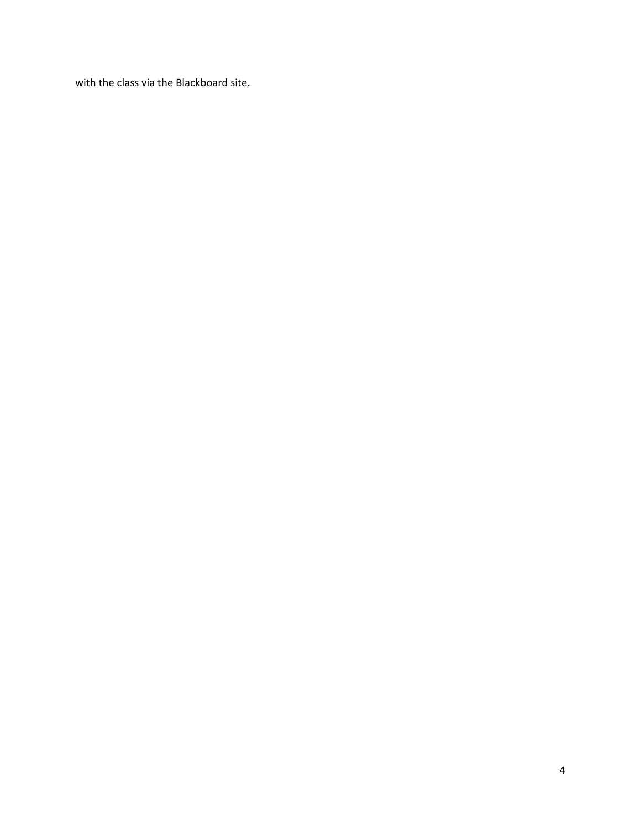with the class via the Blackboard site.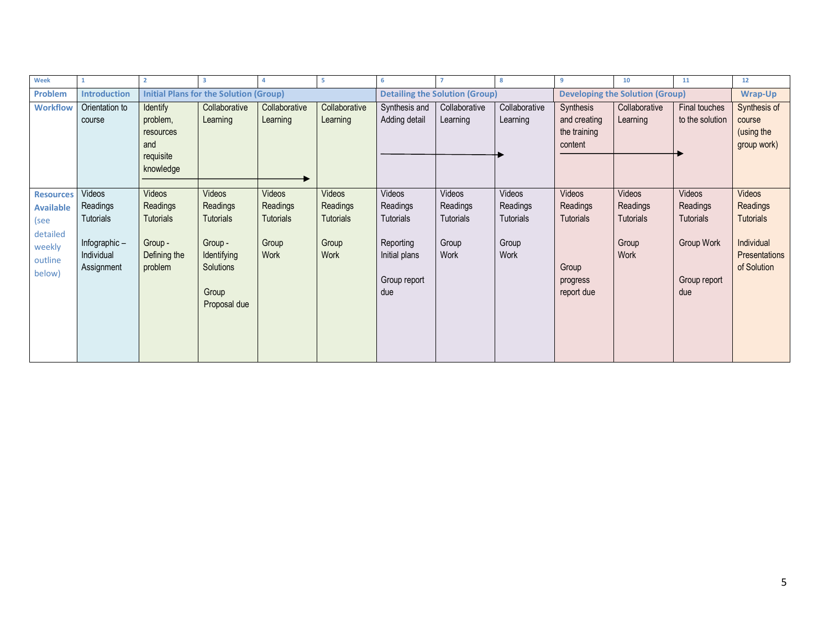| Week             |                     |                  | 3                                             | 4                | -5               | 6                |                                       | -8               | 9                                      | 10               | 11              | 12               |
|------------------|---------------------|------------------|-----------------------------------------------|------------------|------------------|------------------|---------------------------------------|------------------|----------------------------------------|------------------|-----------------|------------------|
| Problem          | <b>Introduction</b> |                  | <b>Initial Plans for the Solution (Group)</b> |                  |                  |                  | <b>Detailing the Solution (Group)</b> |                  | <b>Developing the Solution (Group)</b> |                  |                 | <b>Wrap-Up</b>   |
| <b>Workflow</b>  | Orientation to      | <b>Identify</b>  | Collaborative                                 | Collaborative    | Collaborative    | Synthesis and    | Collaborative                         | Collaborative    | Synthesis                              | Collaborative    | Final touches   | Synthesis of     |
|                  | course              | problem,         | Learning                                      | Learning         | Learning         | Adding detail    | Learning                              | Learning         | and creating                           | Learning         | to the solution | course           |
|                  |                     | resources        |                                               |                  |                  |                  |                                       |                  | the training                           |                  |                 | (using the       |
|                  |                     | and              |                                               |                  |                  |                  |                                       |                  | content                                |                  |                 | group work)      |
|                  |                     | requisite        |                                               |                  |                  |                  |                                       |                  |                                        |                  |                 |                  |
|                  |                     | knowledge        |                                               |                  |                  |                  |                                       |                  |                                        |                  |                 |                  |
|                  |                     |                  |                                               |                  |                  |                  |                                       |                  |                                        |                  |                 |                  |
| <b>Resources</b> | Videos              | Videos           | Videos                                        | Videos           | Videos           | Videos           | Videos                                | Videos           | Videos                                 | Videos           | Videos          | <b>Videos</b>    |
| <b>Available</b> | Readings            | Readings         | Readings                                      | Readings         | Readings         | Readings         | Readings                              | Readings         | Readings                               | Readings         | Readings        | Readings         |
| (see             | <b>Tutorials</b>    | <b>Tutorials</b> | <b>Tutorials</b>                              | <b>Tutorials</b> | <b>Tutorials</b> | <b>Tutorials</b> | Tutorials                             | <b>Tutorials</b> | <b>Tutorials</b>                       | <b>Tutorials</b> | Tutorials       | <b>Tutorials</b> |
| detailed         |                     |                  |                                               |                  |                  |                  |                                       |                  |                                        |                  |                 |                  |
| weekly           | Infographic-        | Group -          | Group -                                       | Group            | Group            | Reporting        | Group                                 | Group            |                                        | Group            | Group Work      | Individual       |
| outline          | Individual          | Defining the     | Identifying                                   | Work             | Work             | Initial plans    | Work                                  | Work             |                                        | Work             |                 | Presentations    |
| below)           | Assignment          | problem          | Solutions                                     |                  |                  |                  |                                       |                  | Group                                  |                  |                 | of Solution      |
|                  |                     |                  |                                               |                  |                  | Group report     |                                       |                  | progress                               |                  | Group report    |                  |
|                  |                     |                  | Group                                         |                  |                  | due              |                                       |                  | report due                             |                  | due             |                  |
|                  |                     |                  | Proposal due                                  |                  |                  |                  |                                       |                  |                                        |                  |                 |                  |
|                  |                     |                  |                                               |                  |                  |                  |                                       |                  |                                        |                  |                 |                  |
|                  |                     |                  |                                               |                  |                  |                  |                                       |                  |                                        |                  |                 |                  |
|                  |                     |                  |                                               |                  |                  |                  |                                       |                  |                                        |                  |                 |                  |
|                  |                     |                  |                                               |                  |                  |                  |                                       |                  |                                        |                  |                 |                  |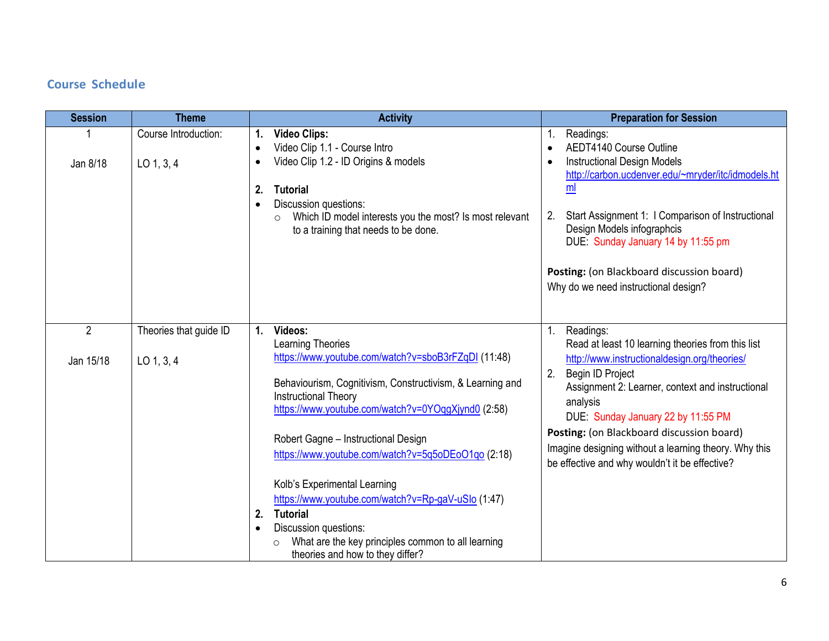# **Course Schedule**

| <b>Session</b>            | <b>Theme</b>                           | <b>Activity</b>                                                                                                                                                                                                                                                                                                                                                                                                                                                                                                                                                                         | <b>Preparation for Session</b>                                                                                                                                                                                                                                                                                                                                                                               |
|---------------------------|----------------------------------------|-----------------------------------------------------------------------------------------------------------------------------------------------------------------------------------------------------------------------------------------------------------------------------------------------------------------------------------------------------------------------------------------------------------------------------------------------------------------------------------------------------------------------------------------------------------------------------------------|--------------------------------------------------------------------------------------------------------------------------------------------------------------------------------------------------------------------------------------------------------------------------------------------------------------------------------------------------------------------------------------------------------------|
| Jan 8/18                  | Course Introduction:<br>$LO$ 1, 3, 4   | <b>Video Clips:</b><br>1.<br>Video Clip 1.1 - Course Intro<br>$\bullet$<br>Video Clip 1.2 - ID Origins & models<br>$\bullet$<br>2.<br><b>Tutorial</b><br>Discussion questions:<br>$\bullet$<br>Which ID model interests you the most? Is most relevant<br>$\circ$<br>to a training that needs to be done.                                                                                                                                                                                                                                                                               | Readings:<br>1.<br>AEDT4140 Course Outline<br><b>Instructional Design Models</b><br>http://carbon.ucdenver.edu/~mryder/itc/idmodels.ht<br>ml<br>Start Assignment 1: I Comparison of Instructional<br>2.<br>Design Models infographcis<br>DUE: Sunday January 14 by 11:55 pm<br>Posting: (on Blackboard discussion board)<br>Why do we need instructional design?                                             |
| $\mathbf{2}$<br>Jan 15/18 | Theories that guide ID<br>$LO$ 1, 3, 4 | Videos:<br>1.<br>Learning Theories<br>https://www.youtube.com/watch?v=sboB3rFZqDI (11:48)<br>Behaviourism, Cognitivism, Constructivism, & Learning and<br><b>Instructional Theory</b><br>https://www.youtube.com/watch?v=0YOqgXjynd0 (2:58)<br>Robert Gagne - Instructional Design<br>https://www.youtube.com/watch?v=5q5oDEoO1qo (2:18)<br>Kolb's Experimental Learning<br>https://www.youtube.com/watch?v=Rp-gaV-uSlo (1:47)<br><b>Tutorial</b><br>2.<br>Discussion questions:<br>$\bullet$<br>What are the key principles common to all learning<br>theories and how to they differ? | Readings:<br>1.<br>Read at least 10 learning theories from this list<br>http://www.instructionaldesign.org/theories/<br>Begin ID Project<br>2.<br>Assignment 2: Learner, context and instructional<br>analysis<br>DUE: Sunday January 22 by 11:55 PM<br>Posting: (on Blackboard discussion board)<br>Imagine designing without a learning theory. Why this<br>be effective and why wouldn't it be effective? |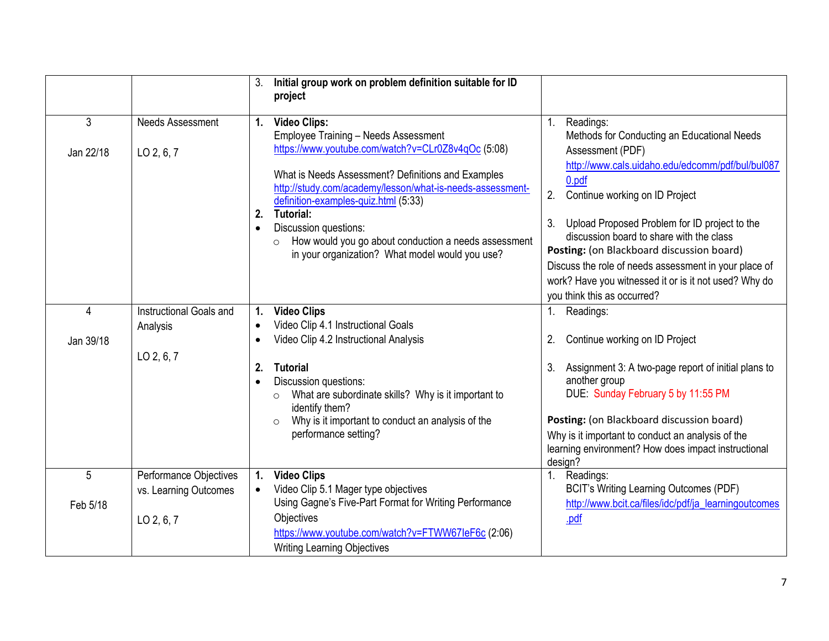|                |                                     | 3.                        | Initial group work on problem definition suitable for ID<br>project                                                                                                                                                                                                                                                        |             |                                                                                                                                                                                                                                                                                                                                                                                                            |
|----------------|-------------------------------------|---------------------------|----------------------------------------------------------------------------------------------------------------------------------------------------------------------------------------------------------------------------------------------------------------------------------------------------------------------------|-------------|------------------------------------------------------------------------------------------------------------------------------------------------------------------------------------------------------------------------------------------------------------------------------------------------------------------------------------------------------------------------------------------------------------|
| $\mathfrak{Z}$ | <b>Needs Assessment</b>             |                           | 1. Video Clips:<br><b>Employee Training - Needs Assessment</b><br>https://www.youtube.com/watch?v=CLr0Z8v4qOc (5:08)                                                                                                                                                                                                       | $1_{\cdot}$ | Readings:<br>Methods for Conducting an Educational Needs                                                                                                                                                                                                                                                                                                                                                   |
| Jan 22/18      | LO 2, 6, 7                          | 2.<br>$\bullet$           | What is Needs Assessment? Definitions and Examples<br>http://study.com/academy/lesson/what-is-needs-assessment-<br>definition-examples-quiz.html (5:33)<br><b>Tutorial:</b><br>Discussion questions:<br>How would you go about conduction a needs assessment<br>$\circ$<br>in your organization? What model would you use? | 2.<br>3.    | Assessment (PDF)<br>http://www.cals.uidaho.edu/edcomm/pdf/bul/bul087<br>0.pdf<br>Continue working on ID Project<br>Upload Proposed Problem for ID project to the<br>discussion board to share with the class<br>Posting: (on Blackboard discussion board)<br>Discuss the role of needs assessment in your place of<br>work? Have you witnessed it or is it not used? Why do<br>you think this as occurred? |
| $\overline{4}$ | Instructional Goals and<br>Analysis | 1.<br>$\bullet$           | <b>Video Clips</b><br>Video Clip 4.1 Instructional Goals                                                                                                                                                                                                                                                                   | $1_{\cdot}$ | Readings:                                                                                                                                                                                                                                                                                                                                                                                                  |
| Jan 39/18      |                                     | $\bullet$                 | Video Clip 4.2 Instructional Analysis                                                                                                                                                                                                                                                                                      | 2.          | Continue working on ID Project                                                                                                                                                                                                                                                                                                                                                                             |
|                | LO 2, 6, 7                          | $\mathbf{2}$<br>$\bullet$ | <b>Tutorial</b><br>Discussion questions:<br>What are subordinate skills? Why is it important to<br>$\circ$<br>identify them?<br>Why is it important to conduct an analysis of the<br>$\circ$<br>performance setting?                                                                                                       | 3.          | Assignment 3: A two-page report of initial plans to<br>another group<br>DUE: Sunday February 5 by 11:55 PM<br>Posting: (on Blackboard discussion board)<br>Why is it important to conduct an analysis of the<br>learning environment? How does impact instructional                                                                                                                                        |
| 5              | Performance Objectives              | $\mathbf{1}$ .            | <b>Video Clips</b>                                                                                                                                                                                                                                                                                                         | $1_{\cdot}$ | design?<br>Readings:                                                                                                                                                                                                                                                                                                                                                                                       |
| Feb 5/18       | vs. Learning Outcomes               |                           | Video Clip 5.1 Mager type objectives<br>Using Gagne's Five-Part Format for Writing Performance                                                                                                                                                                                                                             |             | <b>BCIT's Writing Learning Outcomes (PDF)</b><br>http://www.bcit.ca/files/idc/pdf/ja_learningoutcomes                                                                                                                                                                                                                                                                                                      |
|                | LO 2, 6, 7                          |                           | Objectives<br>https://www.youtube.com/watch?v=FTWW67leF6c (2:06)<br><b>Writing Learning Objectives</b>                                                                                                                                                                                                                     |             | .pdf                                                                                                                                                                                                                                                                                                                                                                                                       |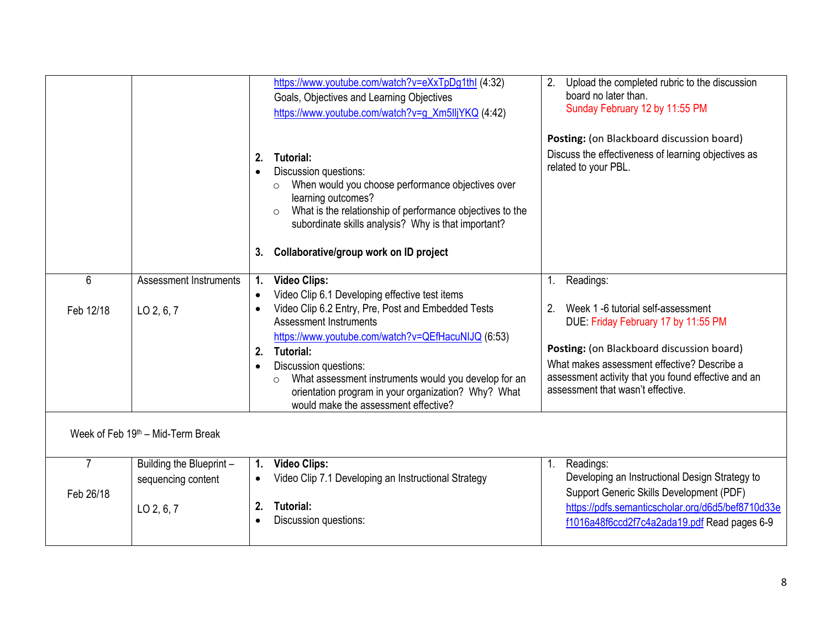|                                   |                               |                       | https://www.youtube.com/watch?v=eXxTpDg1thl (4:32)<br>Goals, Objectives and Learning Objectives<br>https://www.youtube.com/watch?v=g_Xm5lljYKQ (4:42)                                                                                                                                                    | 2.      | Upload the completed rubric to the discussion<br>board no later than.<br>Sunday February 12 by 11:55 PM                                 |  |  |
|-----------------------------------|-------------------------------|-----------------------|----------------------------------------------------------------------------------------------------------------------------------------------------------------------------------------------------------------------------------------------------------------------------------------------------------|---------|-----------------------------------------------------------------------------------------------------------------------------------------|--|--|
|                                   |                               |                       |                                                                                                                                                                                                                                                                                                          |         | Posting: (on Blackboard discussion board)                                                                                               |  |  |
|                                   |                               | 2.<br>$\bullet$<br>3. | <b>Tutorial:</b><br>Discussion questions:<br>When would you choose performance objectives over<br>$\circ$<br>learning outcomes?<br>What is the relationship of performance objectives to the<br>$\circ$<br>subordinate skills analysis? Why is that important?<br>Collaborative/group work on ID project |         | Discuss the effectiveness of learning objectives as<br>related to your PBL.                                                             |  |  |
| 6                                 | <b>Assessment Instruments</b> | 1.                    | <b>Video Clips:</b>                                                                                                                                                                                                                                                                                      | $1_{-}$ | Readings:                                                                                                                               |  |  |
|                                   |                               |                       | Video Clip 6.1 Developing effective test items                                                                                                                                                                                                                                                           |         |                                                                                                                                         |  |  |
| Feb 12/18                         | LO 2, 6, 7                    | $\bullet$             | Video Clip 6.2 Entry, Pre, Post and Embedded Tests<br>Assessment Instruments<br>https://www.youtube.com/watch?v=QEfHacuNIJQ (6:53)                                                                                                                                                                       | 2.      | Week 1 -6 tutorial self-assessment<br>DUE: Friday February 17 by 11:55 PM                                                               |  |  |
|                                   |                               | 2.                    | Tutorial:                                                                                                                                                                                                                                                                                                |         | Posting: (on Blackboard discussion board)                                                                                               |  |  |
|                                   |                               | $\bullet$             | Discussion questions:<br>What assessment instruments would you develop for an<br>$\circ$<br>orientation program in your organization? Why? What<br>would make the assessment effective?                                                                                                                  |         | What makes assessment effective? Describe a<br>assessment activity that you found effective and an<br>assessment that wasn't effective. |  |  |
| Week of Feb 19th - Mid-Term Break |                               |                       |                                                                                                                                                                                                                                                                                                          |         |                                                                                                                                         |  |  |
| $\overline{7}$                    | Building the Blueprint -      | 1.                    | <b>Video Clips:</b>                                                                                                                                                                                                                                                                                      | 1.      | Readings:                                                                                                                               |  |  |
|                                   | sequencing content            |                       | Video Clip 7.1 Developing an Instructional Strategy                                                                                                                                                                                                                                                      |         | Developing an Instructional Design Strategy to                                                                                          |  |  |
| Feb 26/18                         | LO 2, 6, 7                    | 2.                    | Tutorial:                                                                                                                                                                                                                                                                                                |         | Support Generic Skills Development (PDF)<br>https://pdfs.semanticscholar.org/d6d5/bef8710d33e                                           |  |  |
|                                   |                               | $\bullet$             | Discussion questions:                                                                                                                                                                                                                                                                                    |         | f1016a48f6ccd2f7c4a2ada19.pdf Read pages 6-9                                                                                            |  |  |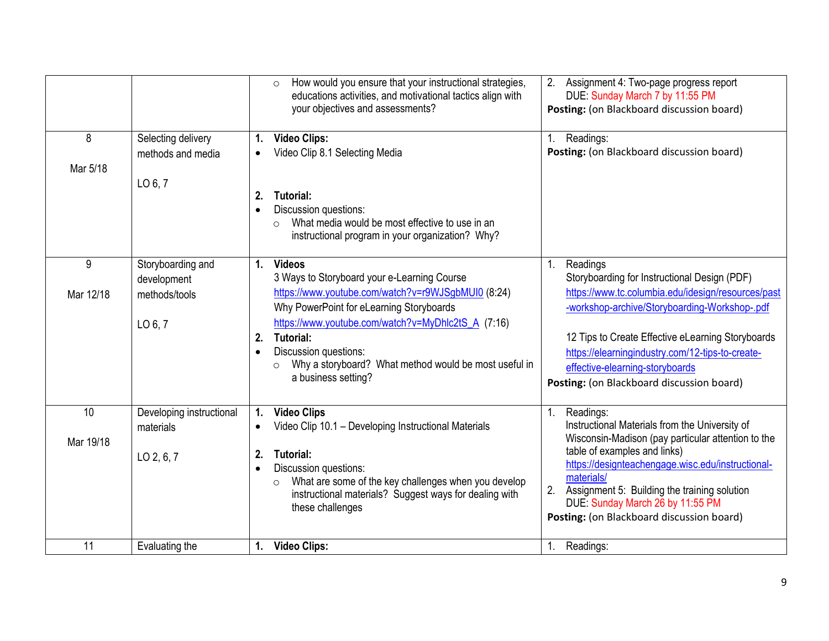|           |                          | How would you ensure that your instructional strategies,<br>$\circ$<br>educations activities, and motivational tactics align with<br>your objectives and assessments? | 2.<br>Assignment 4: Two-page progress report<br>DUE: Sunday March 7 by 11:55 PM<br>Posting: (on Blackboard discussion board) |
|-----------|--------------------------|-----------------------------------------------------------------------------------------------------------------------------------------------------------------------|------------------------------------------------------------------------------------------------------------------------------|
| 8         | Selecting delivery       | <b>Video Clips:</b><br>1.                                                                                                                                             | Readings:                                                                                                                    |
|           | methods and media        | Video Clip 8.1 Selecting Media<br>$\bullet$                                                                                                                           | Posting: (on Blackboard discussion board)                                                                                    |
| Mar 5/18  |                          |                                                                                                                                                                       |                                                                                                                              |
|           | LO 6, 7                  | Tutorial:<br>2.                                                                                                                                                       |                                                                                                                              |
|           |                          | Discussion questions:<br>$\bullet$                                                                                                                                    |                                                                                                                              |
|           |                          | What media would be most effective to use in an<br>$\bigcirc$                                                                                                         |                                                                                                                              |
|           |                          | instructional program in your organization? Why?                                                                                                                      |                                                                                                                              |
| 9         | Storyboarding and        | <b>Videos</b><br>$\mathbf{1}$ .                                                                                                                                       | Readings<br>1.                                                                                                               |
|           | development              | 3 Ways to Storyboard your e-Learning Course                                                                                                                           | Storyboarding for Instructional Design (PDF)                                                                                 |
| Mar 12/18 | methods/tools            | https://www.youtube.com/watch?v=r9WJSgbMUI0 (8:24)                                                                                                                    | https://www.tc.columbia.edu/idesign/resources/past                                                                           |
|           |                          | Why PowerPoint for eLearning Storyboards                                                                                                                              | -workshop-archive/Storyboarding-Workshop-.pdf                                                                                |
|           | LO 6, 7                  | https://www.youtube.com/watch?v=MyDhlc2tS_A (7:16)                                                                                                                    |                                                                                                                              |
|           |                          | <b>Tutorial:</b><br>2.                                                                                                                                                | 12 Tips to Create Effective eLearning Storyboards                                                                            |
|           |                          | Discussion questions:<br>$\bullet$<br>Why a storyboard? What method would be most useful in<br>$\circ$                                                                | https://elearningindustry.com/12-tips-to-create-<br>effective-elearning-storyboards                                          |
|           |                          | a business setting?                                                                                                                                                   | Posting: (on Blackboard discussion board)                                                                                    |
|           |                          |                                                                                                                                                                       |                                                                                                                              |
| 10        | Developing instructional | <b>Video Clips</b><br>1.                                                                                                                                              | Readings:<br>1.                                                                                                              |
|           | materials                | Video Clip 10.1 - Developing Instructional Materials                                                                                                                  | Instructional Materials from the University of                                                                               |
| Mar 19/18 |                          |                                                                                                                                                                       | Wisconsin-Madison (pay particular attention to the<br>table of examples and links)                                           |
|           | LO 2, 6, 7               | 2.<br><b>Tutorial:</b><br>Discussion questions:<br>$\bullet$                                                                                                          | https://designteachengage.wisc.edu/instructional-                                                                            |
|           |                          | What are some of the key challenges when you develop<br>$\circ$                                                                                                       | materials/                                                                                                                   |
|           |                          | instructional materials? Suggest ways for dealing with                                                                                                                | 2.<br>Assignment 5: Building the training solution<br>DUE: Sunday March 26 by 11:55 PM                                       |
|           |                          | these challenges                                                                                                                                                      | Posting: (on Blackboard discussion board)                                                                                    |
|           |                          |                                                                                                                                                                       |                                                                                                                              |
| 11        | Evaluating the           | <b>Video Clips:</b><br>1.                                                                                                                                             | Readings:<br>$1_{\cdot}$                                                                                                     |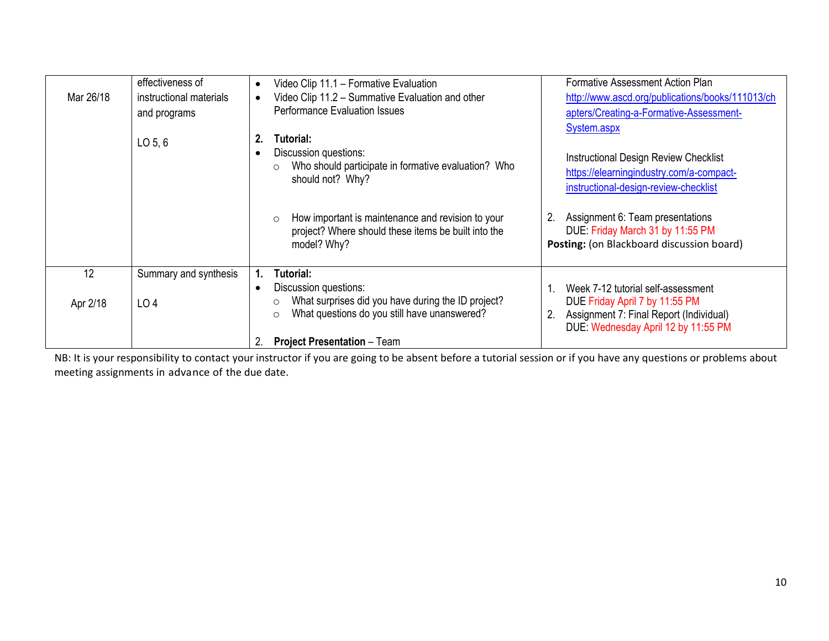|           | effectiveness of        | Video Clip 11.1 - Formative Evaluation<br>$\bullet$                                                                                                            | Formative Assessment Action Plan                                                                                                                             |
|-----------|-------------------------|----------------------------------------------------------------------------------------------------------------------------------------------------------------|--------------------------------------------------------------------------------------------------------------------------------------------------------------|
| Mar 26/18 | instructional materials | Video Clip 11.2 - Summative Evaluation and other<br>$\bullet$                                                                                                  | http://www.ascd.org/publications/books/111013/ch                                                                                                             |
|           | and programs            | <b>Performance Evaluation Issues</b>                                                                                                                           | apters/Creating-a-Formative-Assessment-                                                                                                                      |
|           | $LO$ 5, 6               | 2.<br>Tutorial:<br>Discussion questions:<br>$\bullet$<br>Who should participate in formative evaluation? Who<br>$\circ$<br>should not? Why?                    | System.aspx<br><b>Instructional Design Review Checklist</b><br>https://elearningindustry.com/a-compact-<br>instructional-design-review-checklist             |
|           |                         | How important is maintenance and revision to your<br>$\circ$<br>project? Where should these items be built into the<br>model? Why?                             | Assignment 6: Team presentations<br>2.<br>DUE: Friday March 31 by 11:55 PM<br>Posting: (on Blackboard discussion board)                                      |
| 12        | Summary and synthesis   | <b>Tutorial:</b>                                                                                                                                               |                                                                                                                                                              |
| Apr 2/18  | LO <sub>4</sub>         | Discussion questions:<br>$\bullet$<br>What surprises did you have during the ID project?<br>$\circ$<br>What questions do you still have unanswered?<br>$\circ$ | Week 7-12 tutorial self-assessment<br>DUE Friday April 7 by 11:55 PM<br>Assignment 7: Final Report (Individual)<br>2.<br>DUE: Wednesday April 12 by 11:55 PM |
|           |                         | <b>Project Presentation - Team</b><br>2.                                                                                                                       |                                                                                                                                                              |

NB: It is your responsibility to contact your instructor if you are going to be absent before a tutorial session or if you have any questions or problems about meeting assignments in advance of the due date.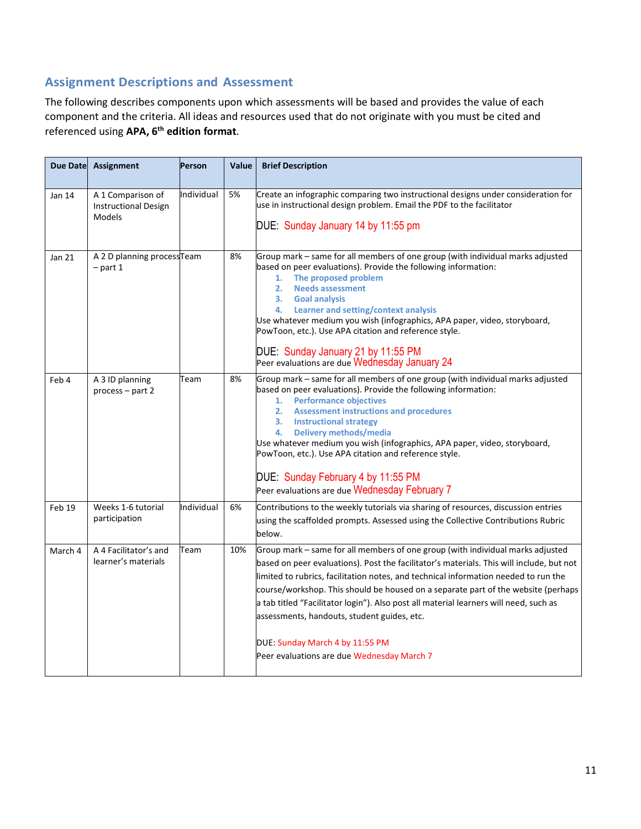# **Assignment Descriptions and Assessment**

The following describes components upon which assessments will be based and provides the value of each component and the criteria. All ideas and resources used that do not originate with you must be cited and referenced using **APA, 6th edition format**.

| <b>Due Date</b> | <b>Assignment</b>                                          | Person     | Value | <b>Brief Description</b>                                                                                                                                                                                                                                                                                                                                                                                                                                                                                                                                                        |
|-----------------|------------------------------------------------------------|------------|-------|---------------------------------------------------------------------------------------------------------------------------------------------------------------------------------------------------------------------------------------------------------------------------------------------------------------------------------------------------------------------------------------------------------------------------------------------------------------------------------------------------------------------------------------------------------------------------------|
| Jan 14          | A 1 Comparison of<br><b>Instructional Design</b><br>Models | Individual | 5%    | Create an infographic comparing two instructional designs under consideration for<br>use in instructional design problem. Email the PDF to the facilitator<br>DUE: Sunday January 14 by 11:55 pm                                                                                                                                                                                                                                                                                                                                                                                |
| Jan 21          | A 2 D planning process Team<br>$-$ part 1                  |            | 8%    | Group mark - same for all members of one group (with individual marks adjusted<br>based on peer evaluations). Provide the following information:<br>The proposed problem<br>1.<br>2.<br><b>Needs assessment</b><br>3. Goal analysis<br>Learner and setting/context analysis<br>4.<br>Use whatever medium you wish (infographics, APA paper, video, storyboard,<br>PowToon, etc.). Use APA citation and reference style.<br>DUE: Sunday January 21 by 11:55 PM<br>Peer evaluations are due Wednesday January 24                                                                  |
| Feb 4           | A 3 ID planning<br>$process - part 2$                      | Team       | 8%    | Group mark - same for all members of one group (with individual marks adjusted<br>based on peer evaluations). Provide the following information:<br><b>Performance objectives</b><br>1.<br><b>Assessment instructions and procedures</b><br>2.<br>3. Instructional strategy<br>Delivery methods/media<br>4.<br>Use whatever medium you wish (infographics, APA paper, video, storyboard,<br>PowToon, etc.). Use APA citation and reference style.<br>DUE: Sunday February 4 by 11:55 PM<br>Peer evaluations are due Wednesday February 7                                        |
| Feb 19          | Weeks 1-6 tutorial<br>participation                        | Individual | 6%    | Contributions to the weekly tutorials via sharing of resources, discussion entries<br>using the scaffolded prompts. Assessed using the Collective Contributions Rubric<br>below.                                                                                                                                                                                                                                                                                                                                                                                                |
| March 4         | A 4 Facilitator's and<br>learner's materials               | Team       | 10%   | Group mark - same for all members of one group (with individual marks adjusted<br>based on peer evaluations). Post the facilitator's materials. This will include, but not<br>limited to rubrics, facilitation notes, and technical information needed to run the<br>course/workshop. This should be housed on a separate part of the website (perhaps<br>a tab titled "Facilitator login"). Also post all material learners will need, such as<br>assessments, handouts, student guides, etc.<br>DUE: Sunday March 4 by 11:55 PM<br>Peer evaluations are due Wednesday March 7 |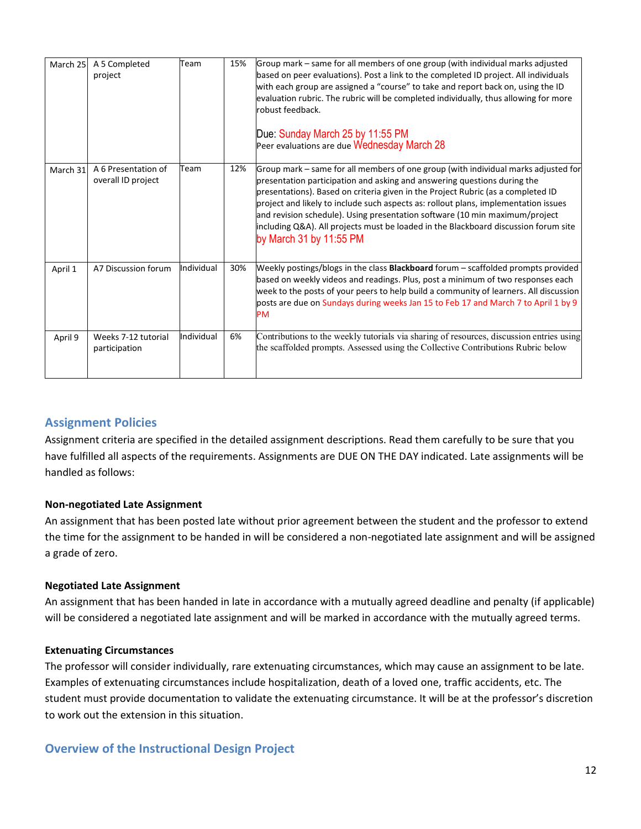| March 25 | A 5 Completed<br>project                  | Team       | 15% | Group mark – same for all members of one group (with individual marks adjusted<br>based on peer evaluations). Post a link to the completed ID project. All individuals<br>with each group are assigned a "course" to take and report back on, using the ID<br>evaluation rubric. The rubric will be completed individually, thus allowing for more<br>robust feedback.<br>Due: Sunday March 25 by 11:55 PM<br>Peer evaluations are due Wednesday March 28                                                                                  |
|----------|-------------------------------------------|------------|-----|--------------------------------------------------------------------------------------------------------------------------------------------------------------------------------------------------------------------------------------------------------------------------------------------------------------------------------------------------------------------------------------------------------------------------------------------------------------------------------------------------------------------------------------------|
| March 31 | A 6 Presentation of<br>overall ID project | Team       | 12% | Group mark – same for all members of one group (with individual marks adjusted for<br>presentation participation and asking and answering questions during the<br>presentations). Based on criteria given in the Project Rubric (as a completed ID<br>project and likely to include such aspects as: rollout plans, implementation issues<br>and revision schedule). Using presentation software (10 min maximum/project<br>including Q&A). All projects must be loaded in the Blackboard discussion forum site<br>by March 31 by 11:55 PM |
| April 1  | A7 Discussion forum                       | Individual | 30% | Weekly postings/blogs in the class <b>Blackboard</b> forum - scaffolded prompts provided<br>based on weekly videos and readings. Plus, post a minimum of two responses each<br>week to the posts of your peers to help build a community of learners. All discussion<br>posts are due on Sundays during weeks Jan 15 to Feb 17 and March 7 to April 1 by 9<br><b>PM</b>                                                                                                                                                                    |
| April 9  | Weeks 7-12 tutorial<br>participation      | Individual | 6%  | Contributions to the weekly tutorials via sharing of resources, discussion entries using<br>the scaffolded prompts. Assessed using the Collective Contributions Rubric below                                                                                                                                                                                                                                                                                                                                                               |

# **Assignment Policies**

Assignment criteria are specified in the detailed assignment descriptions. Read them carefully to be sure that you have fulfilled all aspects of the requirements. Assignments are DUE ON THE DAY indicated. Late assignments will be handled as follows:

#### **Non-negotiated Late Assignment**

An assignment that has been posted late without prior agreement between the student and the professor to extend the time for the assignment to be handed in will be considered a non-negotiated late assignment and will be assigned a grade of zero.

#### **Negotiated Late Assignment**

An assignment that has been handed in late in accordance with a mutually agreed deadline and penalty (if applicable) will be considered a negotiated late assignment and will be marked in accordance with the mutually agreed terms.

#### **Extenuating Circumstances**

The professor will consider individually, rare extenuating circumstances, which may cause an assignment to be late. Examples of extenuating circumstances include hospitalization, death of a loved one, traffic accidents, etc. The student must provide documentation to validate the extenuating circumstance. It will be at the professor's discretion to work out the extension in this situation.

## **Overview of the Instructional Design Project**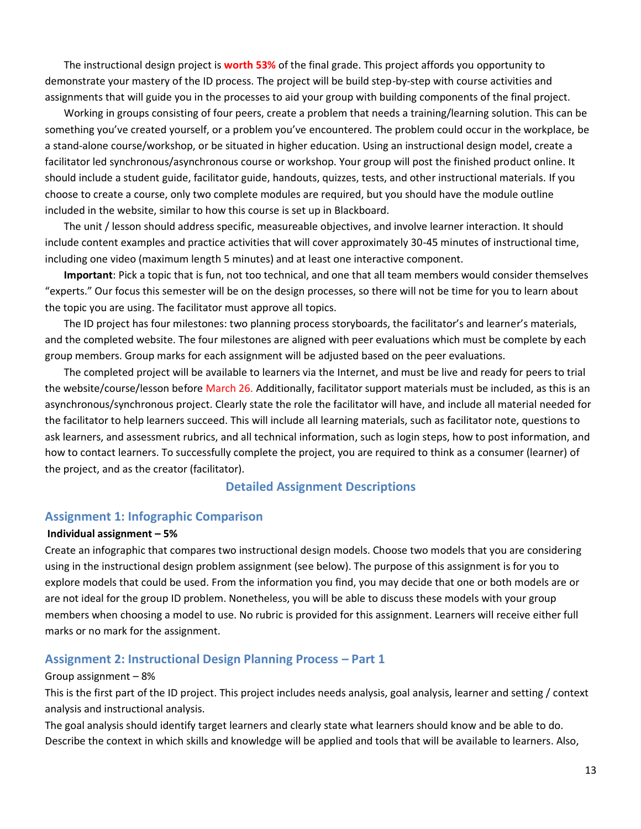The instructional design project is **worth 53%** of the final grade. This project affords you opportunity to demonstrate your mastery of the ID process. The project will be build step-by-step with course activities and assignments that will guide you in the processes to aid your group with building components of the final project.

Working in groups consisting of four peers, create a problem that needs a training/learning solution. This can be something you've created yourself, or a problem you've encountered. The problem could occur in the workplace, be a stand-alone course/workshop, or be situated in higher education. Using an instructional design model, create a facilitator led synchronous/asynchronous course or workshop. Your group will post the finished product online. It should include a student guide, facilitator guide, handouts, quizzes, tests, and other instructional materials. If you choose to create a course, only two complete modules are required, but you should have the module outline included in the website, similar to how this course is set up in Blackboard.

The unit / lesson should address specific, measureable objectives, and involve learner interaction. It should include content examples and practice activities that will cover approximately 30-45 minutes of instructional time, including one video (maximum length 5 minutes) and at least one interactive component.

**Important**: Pick a topic that is fun, not too technical, and one that all team members would consider themselves "experts." Our focus this semester will be on the design processes, so there will not be time for you to learn about the topic you are using. The facilitator must approve all topics.

The ID project has four milestones: two planning process storyboards, the facilitator's and learner's materials, and the completed website. The four milestones are aligned with peer evaluations which must be complete by each group members. Group marks for each assignment will be adjusted based on the peer evaluations.

The completed project will be available to learners via the Internet, and must be live and ready for peers to trial the website/course/lesson before March 26. Additionally, facilitator support materials must be included, as this is an asynchronous/synchronous project. Clearly state the role the facilitator will have, and include all material needed for the facilitator to help learners succeed. This will include all learning materials, such as facilitator note, questions to ask learners, and assessment rubrics, and all technical information, such as login steps, how to post information, and how to contact learners. To successfully complete the project, you are required to think as a consumer (learner) of the project, and as the creator (facilitator).

#### **Detailed Assignment Descriptions**

#### **Assignment 1: Infographic Comparison**

#### **Individual assignment – 5%**

Create an infographic that compares two instructional design models. Choose two models that you are considering using in the instructional design problem assignment (see below). The purpose of this assignment is for you to explore models that could be used. From the information you find, you may decide that one or both models are or are not ideal for the group ID problem. Nonetheless, you will be able to discuss these models with your group members when choosing a model to use. No rubric is provided for this assignment. Learners will receive either full marks or no mark for the assignment.

#### **Assignment 2: Instructional Design Planning Process – Part 1**

#### Group assignment – 8%

This is the first part of the ID project. This project includes needs analysis, goal analysis, learner and setting / context analysis and instructional analysis.

The goal analysis should identify target learners and clearly state what learners should know and be able to do. Describe the context in which skills and knowledge will be applied and tools that will be available to learners. Also,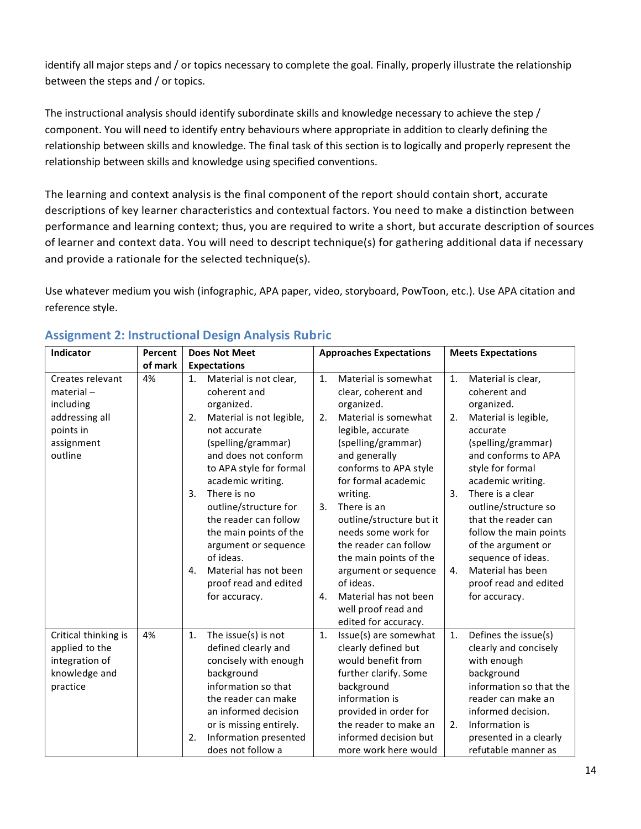identify all major steps and / or topics necessary to complete the goal. Finally, properly illustrate the relationship between the steps and / or topics.

The instructional analysis should identify subordinate skills and knowledge necessary to achieve the step / component. You will need to identify entry behaviours where appropriate in addition to clearly defining the relationship between skills and knowledge. The final task of this section is to logically and properly represent the relationship between skills and knowledge using specified conventions.

The learning and context analysis is the final component of the report should contain short, accurate descriptions of key learner characteristics and contextual factors. You need to make a distinction between performance and learning context; thus, you are required to write a short, but accurate description of sources of learner and context data. You will need to descript technique(s) for gathering additional data if necessary and provide a rationale for the selected technique(s).

Use whatever medium you wish (infographic, APA paper, video, storyboard, PowToon, etc.). Use APA citation and reference style.

| Indicator                                                                             | Percent | <b>Does Not Meet</b>                                                                                                                                                                                                                         | <b>Approaches Expectations</b>                                                                                                                                                                                                       | <b>Meets Expectations</b>                                                                                                                                                                                                        |  |  |  |
|---------------------------------------------------------------------------------------|---------|----------------------------------------------------------------------------------------------------------------------------------------------------------------------------------------------------------------------------------------------|--------------------------------------------------------------------------------------------------------------------------------------------------------------------------------------------------------------------------------------|----------------------------------------------------------------------------------------------------------------------------------------------------------------------------------------------------------------------------------|--|--|--|
|                                                                                       | of mark | <b>Expectations</b>                                                                                                                                                                                                                          |                                                                                                                                                                                                                                      |                                                                                                                                                                                                                                  |  |  |  |
| Creates relevant<br>material-<br>including                                            | 4%      | Material is not clear,<br>1.<br>coherent and<br>organized.                                                                                                                                                                                   | Material is somewhat<br>1.<br>clear, coherent and<br>organized.                                                                                                                                                                      | 1.<br>Material is clear,<br>coherent and<br>organized.                                                                                                                                                                           |  |  |  |
| addressing all<br>points in<br>assignment<br>outline                                  |         | Material is not legible,<br>2.<br>not accurate<br>(spelling/grammar)<br>and does not conform<br>to APA style for formal<br>academic writing.                                                                                                 | Material is somewhat<br>2.<br>legible, accurate<br>(spelling/grammar)<br>and generally<br>conforms to APA style<br>for formal academic                                                                                               | Material is legible,<br>2.<br>accurate<br>(spelling/grammar)<br>and conforms to APA<br>style for formal<br>academic writing.                                                                                                     |  |  |  |
|                                                                                       |         | There is no<br>3.<br>outline/structure for<br>the reader can follow<br>the main points of the<br>argument or sequence<br>of ideas.                                                                                                           | writing.<br>There is an<br>3.<br>outline/structure but it<br>needs some work for<br>the reader can follow<br>the main points of the                                                                                                  | There is a clear<br>3.<br>outline/structure so<br>that the reader can<br>follow the main points<br>of the argument or<br>sequence of ideas.                                                                                      |  |  |  |
|                                                                                       |         | Material has not been<br>4.<br>proof read and edited<br>for accuracy.                                                                                                                                                                        | argument or sequence<br>of ideas.<br>Material has not been<br>4.<br>well proof read and<br>edited for accuracy.                                                                                                                      | Material has been<br>4.<br>proof read and edited<br>for accuracy.                                                                                                                                                                |  |  |  |
| Critical thinking is<br>applied to the<br>integration of<br>knowledge and<br>practice | 4%      | 1.<br>The issue(s) is not<br>defined clearly and<br>concisely with enough<br>background<br>information so that<br>the reader can make<br>an informed decision<br>or is missing entirely.<br>Information presented<br>2.<br>does not follow a | 1.<br>Issue(s) are somewhat<br>clearly defined but<br>would benefit from<br>further clarify. Some<br>background<br>information is<br>provided in order for<br>the reader to make an<br>informed decision but<br>more work here would | Defines the issue(s)<br>1.<br>clearly and concisely<br>with enough<br>background<br>information so that the<br>reader can make an<br>informed decision.<br>Information is<br>2.<br>presented in a clearly<br>refutable manner as |  |  |  |

## **Assignment 2: Instructional Design Analysis Rubric**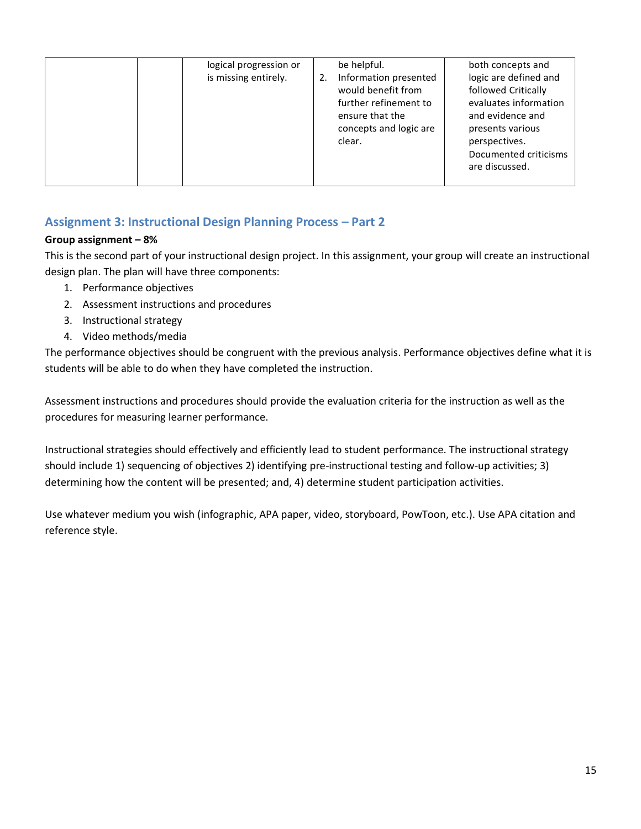| logical progression or<br>is missing entirely. | be helpful.<br>Information presented<br>would benefit from<br>further refinement to<br>ensure that the<br>concepts and logic are<br>clear. | both concepts and<br>logic are defined and<br>followed Critically<br>evaluates information<br>and evidence and<br>presents various<br>perspectives.<br>Documented criticisms<br>are discussed. |
|------------------------------------------------|--------------------------------------------------------------------------------------------------------------------------------------------|------------------------------------------------------------------------------------------------------------------------------------------------------------------------------------------------|
|------------------------------------------------|--------------------------------------------------------------------------------------------------------------------------------------------|------------------------------------------------------------------------------------------------------------------------------------------------------------------------------------------------|

# **Assignment 3: Instructional Design Planning Process – Part 2**

#### **Group assignment – 8%**

This is the second part of your instructional design project. In this assignment, your group will create an instructional design plan. The plan will have three components:

- 1. Performance objectives
- 2. Assessment instructions and procedures
- 3. Instructional strategy
- 4. Video methods/media

The performance objectives should be congruent with the previous analysis. Performance objectives define what it is students will be able to do when they have completed the instruction.

Assessment instructions and procedures should provide the evaluation criteria for the instruction as well as the procedures for measuring learner performance.

Instructional strategies should effectively and efficiently lead to student performance. The instructional strategy should include 1) sequencing of objectives 2) identifying pre-instructional testing and follow-up activities; 3) determining how the content will be presented; and, 4) determine student participation activities.

Use whatever medium you wish (infographic, APA paper, video, storyboard, PowToon, etc.). Use APA citation and reference style.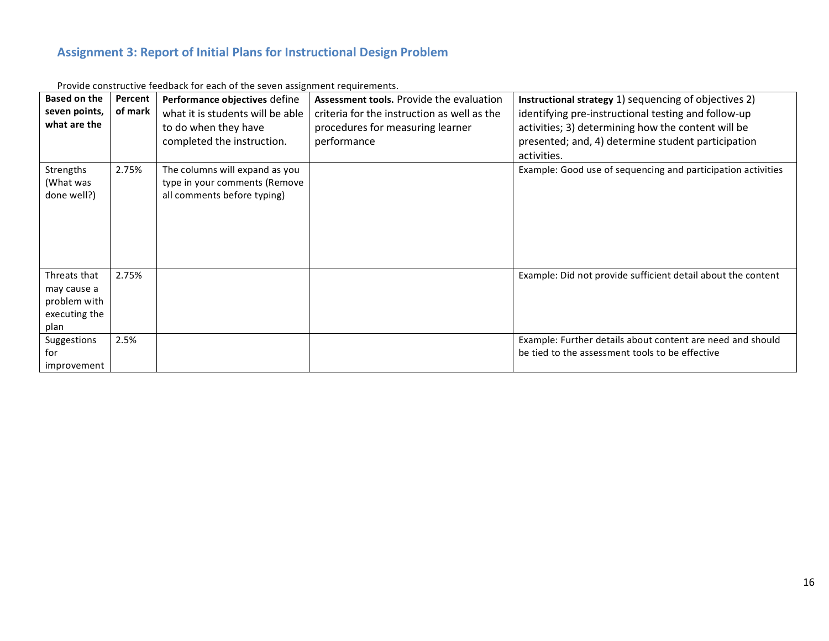# **Assignment 3: Report of Initial Plans for Instructional Design Problem**

| <b>Based on the</b><br>seven points,<br>what are the                 | Percent<br>of mark | Performance objectives define<br>what it is students will be able<br>to do when they have<br>completed the instruction. | <b>Assessment tools.</b> Provide the evaluation<br>criteria for the instruction as well as the<br>procedures for measuring learner<br>performance | Instructional strategy 1) sequencing of objectives 2)<br>identifying pre-instructional testing and follow-up<br>activities; 3) determining how the content will be<br>presented; and, 4) determine student participation<br>activities. |
|----------------------------------------------------------------------|--------------------|-------------------------------------------------------------------------------------------------------------------------|---------------------------------------------------------------------------------------------------------------------------------------------------|-----------------------------------------------------------------------------------------------------------------------------------------------------------------------------------------------------------------------------------------|
| Strengths<br>(What was<br>done well?)                                | 2.75%              | The columns will expand as you<br>type in your comments (Remove<br>all comments before typing)                          |                                                                                                                                                   | Example: Good use of sequencing and participation activities                                                                                                                                                                            |
| Threats that<br>may cause a<br>problem with<br>executing the<br>plan | 2.75%              |                                                                                                                         |                                                                                                                                                   | Example: Did not provide sufficient detail about the content                                                                                                                                                                            |
| Suggestions<br>for<br>improvement                                    | 2.5%               |                                                                                                                         |                                                                                                                                                   | Example: Further details about content are need and should<br>be tied to the assessment tools to be effective                                                                                                                           |

Provide constructive feedback for each of the seven assignment requirements.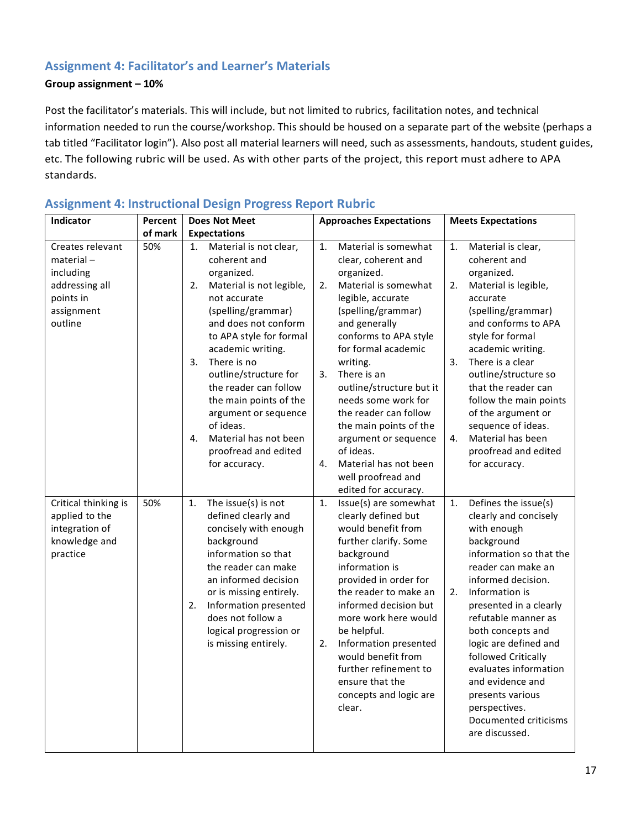## **Assignment 4: Facilitator's and Learner's Materials**

#### **Group assignment – 10%**

Post the facilitator's materials. This will include, but not limited to rubrics, facilitation notes, and technical information needed to run the course/workshop. This should be housed on a separate part of the website (perhaps a tab titled "Facilitator login"). Also post all material learners will need, such as assessments, handouts, student guides, etc. The following rubric will be used. As with other parts of the project, this report must adhere to APA standards.

| Indicator                                                                                             | Percent | <b>Does Not Meet</b>                                                                                                                                                                                                                                                                                                                                                                                                     | <b>Approaches Expectations</b>                                                                                                                                                                                                                                                                                                                                                                                                             | <b>Meets Expectations</b>                                                                                                                                                                                                                                                                                                                                                                                                          |  |
|-------------------------------------------------------------------------------------------------------|---------|--------------------------------------------------------------------------------------------------------------------------------------------------------------------------------------------------------------------------------------------------------------------------------------------------------------------------------------------------------------------------------------------------------------------------|--------------------------------------------------------------------------------------------------------------------------------------------------------------------------------------------------------------------------------------------------------------------------------------------------------------------------------------------------------------------------------------------------------------------------------------------|------------------------------------------------------------------------------------------------------------------------------------------------------------------------------------------------------------------------------------------------------------------------------------------------------------------------------------------------------------------------------------------------------------------------------------|--|
|                                                                                                       | of mark | <b>Expectations</b>                                                                                                                                                                                                                                                                                                                                                                                                      |                                                                                                                                                                                                                                                                                                                                                                                                                                            |                                                                                                                                                                                                                                                                                                                                                                                                                                    |  |
| Creates relevant<br>$material -$<br>including<br>addressing all<br>points in<br>assignment<br>outline | 50%     | Material is not clear,<br>1.<br>coherent and<br>organized.<br>Material is not legible,<br>2.<br>not accurate<br>(spelling/grammar)<br>and does not conform<br>to APA style for formal<br>academic writing.<br>There is no<br>3.<br>outline/structure for<br>the reader can follow<br>the main points of the<br>argument or sequence<br>of ideas.<br>Material has not been<br>4.<br>proofread and edited<br>for accuracy. | Material is somewhat<br>1.<br>clear, coherent and<br>organized.<br>2.<br>Material is somewhat<br>legible, accurate<br>(spelling/grammar)<br>and generally<br>conforms to APA style<br>for formal academic<br>writing.<br>There is an<br>3.<br>outline/structure but it<br>needs some work for<br>the reader can follow<br>the main points of the<br>argument or sequence<br>of ideas.<br>Material has not been<br>4.<br>well proofread and | 1.<br>Material is clear,<br>coherent and<br>organized.<br>Material is legible,<br>2.<br>accurate<br>(spelling/grammar)<br>and conforms to APA<br>style for formal<br>academic writing.<br>There is a clear<br>3.<br>outline/structure so<br>that the reader can<br>follow the main points<br>of the argument or<br>sequence of ideas.<br>Material has been<br>4.<br>proofread and edited<br>for accuracy.                          |  |
| Critical thinking is<br>applied to the<br>integration of<br>knowledge and<br>practice                 | 50%     | The issue(s) is not<br>1.<br>defined clearly and<br>concisely with enough<br>background<br>information so that<br>the reader can make<br>an informed decision<br>or is missing entirely.<br>Information presented<br>2.<br>does not follow a<br>logical progression or<br>is missing entirely.                                                                                                                           | edited for accuracy.<br>Issue(s) are somewhat<br>1.<br>clearly defined but<br>would benefit from<br>further clarify. Some<br>background<br>information is<br>provided in order for<br>the reader to make an<br>informed decision but<br>more work here would<br>be helpful.<br>Information presented<br>2.<br>would benefit from<br>further refinement to<br>ensure that the<br>concepts and logic are<br>clear.                           | Defines the issue(s)<br>1.<br>clearly and concisely<br>with enough<br>background<br>information so that the<br>reader can make an<br>informed decision.<br>Information is<br>2.<br>presented in a clearly<br>refutable manner as<br>both concepts and<br>logic are defined and<br>followed Critically<br>evaluates information<br>and evidence and<br>presents various<br>perspectives.<br>Documented criticisms<br>are discussed. |  |

### **Assignment 4: Instructional Design Progress Report Rubric**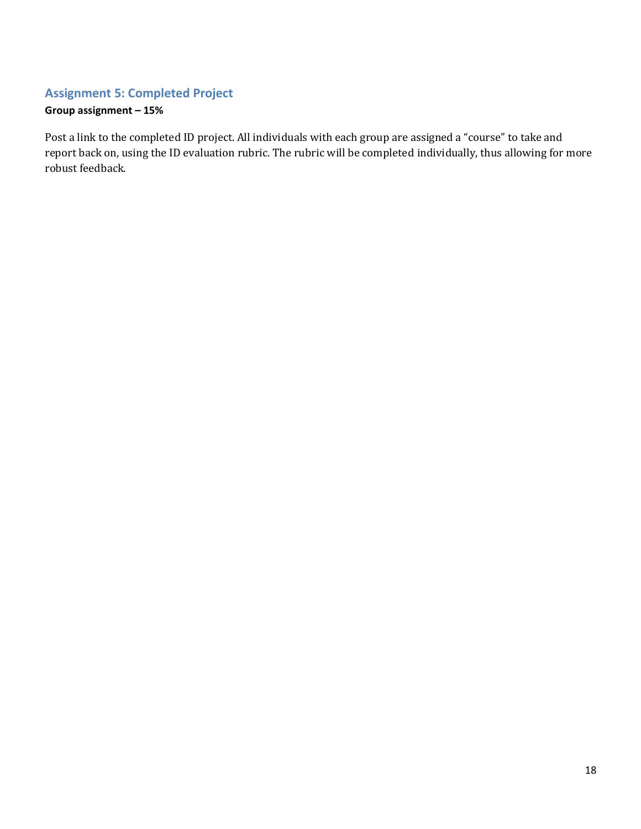## **Assignment 5: Completed Project**

# **Group assignment – 15%**

Post a link to the completed ID project. All individuals with each group are assigned a "course" to take and report back on, using the ID evaluation rubric. The rubric will be completed individually, thus allowing for more robust feedback.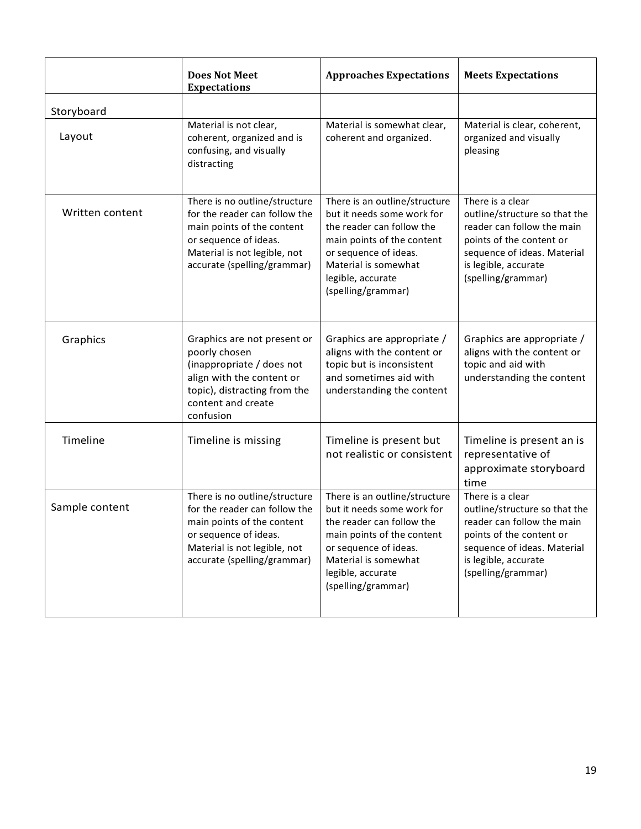|                 | <b>Does Not Meet</b><br><b>Expectations</b>                                                                                                                                          | <b>Approaches Expectations</b>                                                                                                                                                                                     | <b>Meets Expectations</b>                                                                                                                                                                |
|-----------------|--------------------------------------------------------------------------------------------------------------------------------------------------------------------------------------|--------------------------------------------------------------------------------------------------------------------------------------------------------------------------------------------------------------------|------------------------------------------------------------------------------------------------------------------------------------------------------------------------------------------|
| Storyboard      |                                                                                                                                                                                      |                                                                                                                                                                                                                    |                                                                                                                                                                                          |
| Layout          | Material is not clear,<br>coherent, organized and is<br>confusing, and visually<br>distracting                                                                                       | Material is somewhat clear,<br>coherent and organized.                                                                                                                                                             | Material is clear, coherent,<br>organized and visually<br>pleasing                                                                                                                       |
| Written content | There is no outline/structure<br>for the reader can follow the<br>main points of the content<br>or sequence of ideas.<br>Material is not legible, not<br>accurate (spelling/grammar) | There is an outline/structure<br>but it needs some work for<br>the reader can follow the<br>main points of the content<br>or sequence of ideas.<br>Material is somewhat<br>legible, accurate<br>(spelling/grammar) | There is a clear<br>outline/structure so that the<br>reader can follow the main<br>points of the content or<br>sequence of ideas. Material<br>is legible, accurate<br>(spelling/grammar) |
| Graphics        | Graphics are not present or<br>poorly chosen<br>(inappropriate / does not<br>align with the content or<br>topic), distracting from the<br>content and create<br>confusion            | Graphics are appropriate /<br>aligns with the content or<br>topic but is inconsistent<br>and sometimes aid with<br>understanding the content                                                                       | Graphics are appropriate /<br>aligns with the content or<br>topic and aid with<br>understanding the content                                                                              |
| Timeline        | Timeline is missing                                                                                                                                                                  | Timeline is present but<br>not realistic or consistent                                                                                                                                                             | Timeline is present an is<br>representative of<br>approximate storyboard<br>time                                                                                                         |
| Sample content  | There is no outline/structure<br>for the reader can follow the<br>main points of the content<br>or sequence of ideas.<br>Material is not legible, not<br>accurate (spelling/grammar) | There is an outline/structure<br>but it needs some work for<br>the reader can follow the<br>main points of the content<br>or sequence of ideas.<br>Material is somewhat<br>legible, accurate<br>(spelling/grammar) | There is a clear<br>outline/structure so that the<br>reader can follow the main<br>points of the content or<br>sequence of ideas. Material<br>is legible, accurate<br>(spelling/grammar) |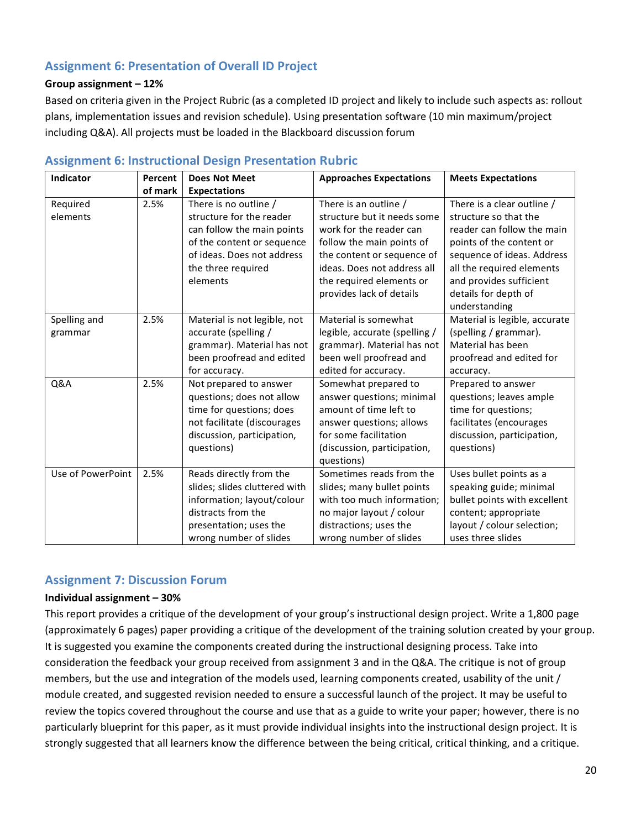# **Assignment 6: Presentation of Overall ID Project**

#### **Group assignment – 12%**

Based on criteria given in the Project Rubric (as a completed ID project and likely to include such aspects as: rollout plans, implementation issues and revision schedule). Using presentation software (10 min maximum/project including Q&A). All projects must be loaded in the Blackboard discussion forum

| Indicator         | Percent | <b>Does Not Meet</b>          | <b>Approaches Expectations</b> | <b>Meets Expectations</b>     |
|-------------------|---------|-------------------------------|--------------------------------|-------------------------------|
|                   | of mark | <b>Expectations</b>           |                                |                               |
| Required          | 2.5%    | There is no outline /         | There is an outline /          | There is a clear outline /    |
| elements          |         | structure for the reader      | structure but it needs some    | structure so that the         |
|                   |         | can follow the main points    | work for the reader can        | reader can follow the main    |
|                   |         | of the content or sequence    | follow the main points of      | points of the content or      |
|                   |         | of ideas. Does not address    | the content or sequence of     | sequence of ideas. Address    |
|                   |         | the three required            | ideas. Does not address all    | all the required elements     |
|                   |         | elements                      | the required elements or       | and provides sufficient       |
|                   |         |                               | provides lack of details       | details for depth of          |
|                   |         |                               |                                | understanding                 |
| Spelling and      | 2.5%    | Material is not legible, not  | Material is somewhat           | Material is legible, accurate |
| grammar           |         | accurate (spelling /          | legible, accurate (spelling /  | (spelling / grammar).         |
|                   |         | grammar). Material has not    | grammar). Material has not     | Material has been             |
|                   |         | been proofread and edited     | been well proofread and        | proofread and edited for      |
|                   |         | for accuracy.                 | edited for accuracy.           | accuracy.                     |
| Q&A               | 2.5%    | Not prepared to answer        | Somewhat prepared to           | Prepared to answer            |
|                   |         | questions; does not allow     | answer questions; minimal      | questions; leaves ample       |
|                   |         | time for questions; does      | amount of time left to         | time for questions;           |
|                   |         | not facilitate (discourages   | answer questions; allows       | facilitates (encourages       |
|                   |         | discussion, participation,    | for some facilitation          | discussion, participation,    |
|                   |         | questions)                    | (discussion, participation,    | questions)                    |
|                   |         |                               | questions)                     |                               |
| Use of PowerPoint | 2.5%    | Reads directly from the       | Sometimes reads from the       | Uses bullet points as a       |
|                   |         | slides; slides cluttered with | slides; many bullet points     | speaking guide; minimal       |
|                   |         | information; layout/colour    | with too much information;     | bullet points with excellent  |
|                   |         | distracts from the            | no major layout / colour       | content; appropriate          |
|                   |         | presentation; uses the        | distractions; uses the         | layout / colour selection;    |
|                   |         | wrong number of slides        | wrong number of slides         | uses three slides             |

### **Assignment 6: Instructional Design Presentation Rubric**

#### **Assignment 7: Discussion Forum**

#### **Individual assignment – 30%**

This report provides a critique of the development of your group's instructional design project. Write a 1,800 page (approximately 6 pages) paper providing a critique of the development of the training solution created by your group. It is suggested you examine the components created during the instructional designing process. Take into consideration the feedback your group received from assignment 3 and in the Q&A. The critique is not of group members, but the use and integration of the models used, learning components created, usability of the unit / module created, and suggested revision needed to ensure a successful launch of the project. It may be useful to review the topics covered throughout the course and use that as a guide to write your paper; however, there is no particularly blueprint for this paper, as it must provide individual insights into the instructional design project. It is strongly suggested that all learners know the difference between the being critical, critical thinking, and a critique.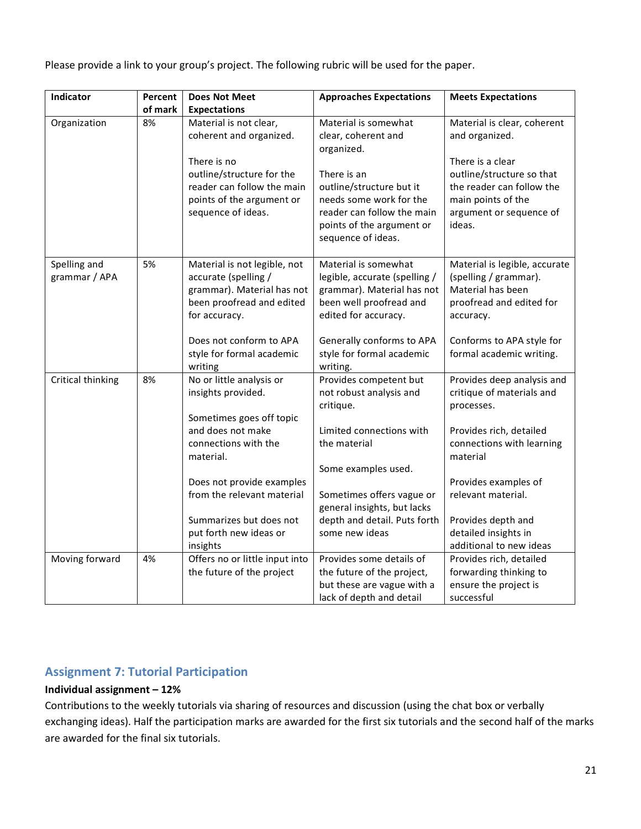Please provide a link to your group's project. The following rubric will be used for the paper.

| Indicator                     | Percent | <b>Does Not Meet</b>                                                                                                             | <b>Approaches Expectations</b>                                                                                                                      | <b>Meets Expectations</b>                                                                                                             |
|-------------------------------|---------|----------------------------------------------------------------------------------------------------------------------------------|-----------------------------------------------------------------------------------------------------------------------------------------------------|---------------------------------------------------------------------------------------------------------------------------------------|
|                               | of mark | <b>Expectations</b>                                                                                                              |                                                                                                                                                     |                                                                                                                                       |
| Organization                  | 8%      | Material is not clear,<br>coherent and organized.                                                                                | Material is somewhat<br>clear, coherent and<br>organized.                                                                                           | Material is clear, coherent<br>and organized.                                                                                         |
|                               |         | There is no<br>outline/structure for the<br>reader can follow the main<br>points of the argument or<br>sequence of ideas.        | There is an<br>outline/structure but it<br>needs some work for the<br>reader can follow the main<br>points of the argument or<br>sequence of ideas. | There is a clear<br>outline/structure so that<br>the reader can follow the<br>main points of the<br>argument or sequence of<br>ideas. |
| Spelling and<br>grammar / APA | 5%      | Material is not legible, not<br>accurate (spelling /<br>grammar). Material has not<br>been proofread and edited<br>for accuracy. | Material is somewhat<br>legible, accurate (spelling /<br>grammar). Material has not<br>been well proofread and<br>edited for accuracy.              | Material is legible, accurate<br>(spelling / grammar).<br>Material has been<br>proofread and edited for<br>accuracy.                  |
|                               |         | Does not conform to APA<br>style for formal academic<br>writing                                                                  | Generally conforms to APA<br>style for formal academic<br>writing.                                                                                  | Conforms to APA style for<br>formal academic writing.                                                                                 |
| Critical thinking             | 8%      | No or little analysis or<br>insights provided.                                                                                   | Provides competent but<br>not robust analysis and<br>critique.                                                                                      | Provides deep analysis and<br>critique of materials and<br>processes.                                                                 |
|                               |         | Sometimes goes off topic<br>and does not make<br>connections with the<br>material.                                               | Limited connections with<br>the material<br>Some examples used.                                                                                     | Provides rich, detailed<br>connections with learning<br>material                                                                      |
|                               |         | Does not provide examples<br>from the relevant material                                                                          | Sometimes offers vague or<br>general insights, but lacks                                                                                            | Provides examples of<br>relevant material.                                                                                            |
|                               |         | Summarizes but does not<br>put forth new ideas or<br>insights                                                                    | depth and detail. Puts forth<br>some new ideas                                                                                                      | Provides depth and<br>detailed insights in<br>additional to new ideas                                                                 |
| Moving forward                | 4%      | Offers no or little input into<br>the future of the project                                                                      | Provides some details of<br>the future of the project,<br>but these are vague with a<br>lack of depth and detail                                    | Provides rich, detailed<br>forwarding thinking to<br>ensure the project is<br>successful                                              |

# **Assignment 7: Tutorial Participation**

### **Individual assignment – 12%**

Contributions to the weekly tutorials via sharing of resources and discussion (using the chat box or verbally exchanging ideas). Half the participation marks are awarded for the first six tutorials and the second half of the marks are awarded for the final six tutorials.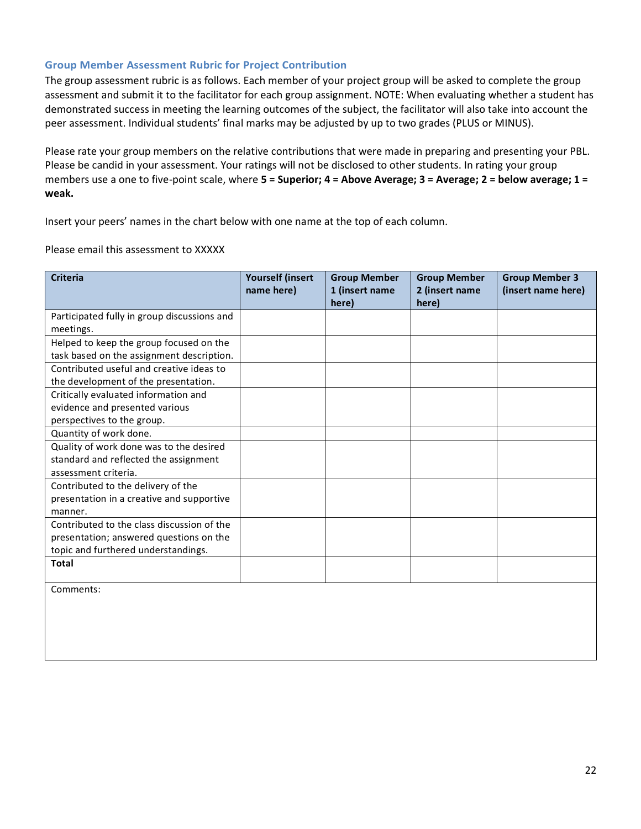#### **Group Member Assessment Rubric for Project Contribution**

The group assessment rubric is as follows. Each member of your project group will be asked to complete the group assessment and submit it to the facilitator for each group assignment. NOTE: When evaluating whether a student has demonstrated success in meeting the learning outcomes of the subject, the facilitator will also take into account the peer assessment. Individual students' final marks may be adjusted by up to two grades (PLUS or MINUS).

Please rate your group members on the relative contributions that were made in preparing and presenting your PBL. Please be candid in your assessment. Your ratings will not be disclosed to other students. In rating your group members use a one to five-point scale, where **5 = Superior; 4 = Above Average; 3 = Average; 2 = below average; 1 = weak.**

Insert your peers' names in the chart below with one name at the top of each column.

#### Please email this assessment to XXXXX

| <b>Criteria</b>                             | <b>Yourself (insert</b><br>name here) | <b>Group Member</b><br>1 (insert name<br>here) | <b>Group Member</b><br>2 (insert name<br>here) | <b>Group Member 3</b><br>(insert name here) |
|---------------------------------------------|---------------------------------------|------------------------------------------------|------------------------------------------------|---------------------------------------------|
| Participated fully in group discussions and |                                       |                                                |                                                |                                             |
| meetings.                                   |                                       |                                                |                                                |                                             |
| Helped to keep the group focused on the     |                                       |                                                |                                                |                                             |
| task based on the assignment description.   |                                       |                                                |                                                |                                             |
| Contributed useful and creative ideas to    |                                       |                                                |                                                |                                             |
| the development of the presentation.        |                                       |                                                |                                                |                                             |
| Critically evaluated information and        |                                       |                                                |                                                |                                             |
| evidence and presented various              |                                       |                                                |                                                |                                             |
| perspectives to the group.                  |                                       |                                                |                                                |                                             |
| Quantity of work done.                      |                                       |                                                |                                                |                                             |
| Quality of work done was to the desired     |                                       |                                                |                                                |                                             |
| standard and reflected the assignment       |                                       |                                                |                                                |                                             |
| assessment criteria.                        |                                       |                                                |                                                |                                             |
| Contributed to the delivery of the          |                                       |                                                |                                                |                                             |
| presentation in a creative and supportive   |                                       |                                                |                                                |                                             |
| manner.                                     |                                       |                                                |                                                |                                             |
| Contributed to the class discussion of the  |                                       |                                                |                                                |                                             |
| presentation; answered questions on the     |                                       |                                                |                                                |                                             |
| topic and furthered understandings.         |                                       |                                                |                                                |                                             |
| Total                                       |                                       |                                                |                                                |                                             |
| Comments:                                   |                                       |                                                |                                                |                                             |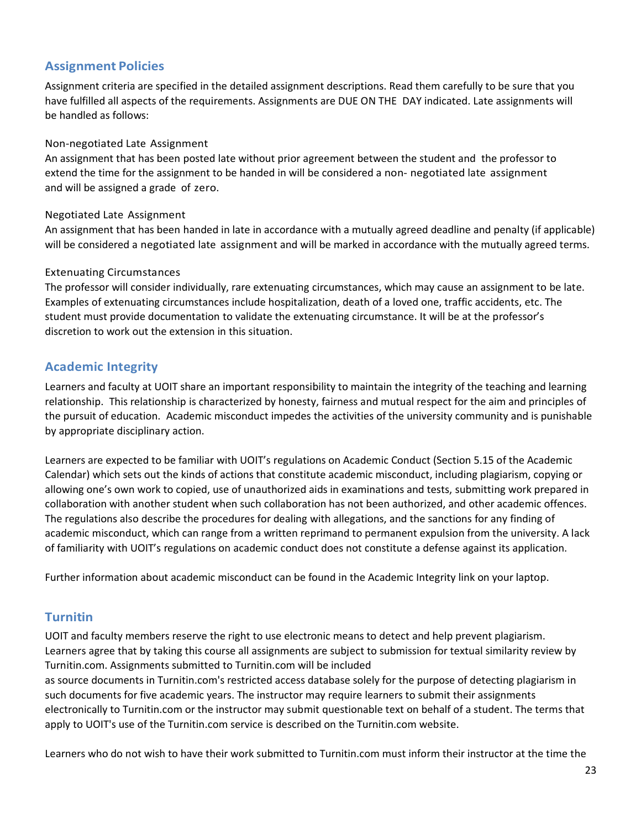## **Assignment Policies**

Assignment criteria are specified in the detailed assignment descriptions. Read them carefully to be sure that you have fulfilled all aspects of the requirements. Assignments are DUE ON THE DAY indicated. Late assignments will be handled as follows:

#### Non-negotiated Late Assignment

An assignment that has been posted late without prior agreement between the student and the professor to extend the time for the assignment to be handed in will be considered a non- negotiated late assignment and will be assigned a grade of zero.

#### Negotiated Late Assignment

An assignment that has been handed in late in accordance with a mutually agreed deadline and penalty (if applicable) will be considered a negotiated late assignment and will be marked in accordance with the mutually agreed terms.

#### Extenuating Circumstances

The professor will consider individually, rare extenuating circumstances, which may cause an assignment to be late. Examples of extenuating circumstances include hospitalization, death of a loved one, traffic accidents, etc. The student must provide documentation to validate the extenuating circumstance. It will be at the professor's discretion to work out the extension in this situation.

## **Academic Integrity**

Learners and faculty at UOIT share an important responsibility to maintain the integrity of the teaching and learning relationship. This relationship is characterized by honesty, fairness and mutual respect for the aim and principles of the pursuit of education. Academic misconduct impedes the activities of the university community and is punishable by appropriate disciplinary action.

Learners are expected to be familiar with UOIT's regulations on Academic Conduct (Section 5.15 of the Academic Calendar) which sets out the kinds of actions that constitute academic misconduct, including plagiarism, copying or allowing one's own work to copied, use of unauthorized aids in examinations and tests, submitting work prepared in collaboration with another student when such collaboration has not been authorized, and other academic offences. The regulations also describe the procedures for dealing with allegations, and the sanctions for any finding of academic misconduct, which can range from a written reprimand to permanent expulsion from the university. A lack of familiarity with UOIT's regulations on academic conduct does not constitute a defense against its application.

Further information about academic misconduct can be found in the Academic Integrity link on your laptop.

## **Turnitin**

UOIT and faculty members reserve the right to use electronic means to detect and help prevent plagiarism. Learners agree that by taking this course all assignments are subject to submission for textual similarity review by Turnitin.com. Assignments submitted to Turnitin.com will be included

as source documents in Turnitin.com's restricted access database solely for the purpose of detecting plagiarism in such documents for five academic years. The instructor may require learners to submit their assignments electronically to Turnitin.com or the instructor may submit questionable text on behalf of a student. The terms that apply to UOIT's use of the Turnitin.com service is described on the Turnitin.com website.

Learners who do not wish to have their work submitted to Turnitin.com must inform their instructor at the time the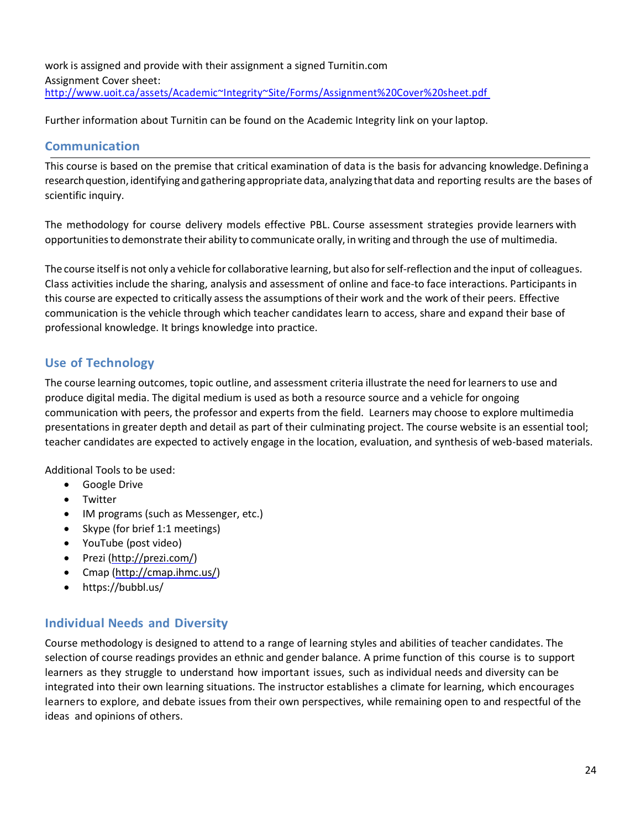work is assigned and provide with their assignment a signed Turnitin.com Assignment Cover sheet: <http://www.uoit.ca/assets/Academic~Integrity~Site/Forms/Assignment%20Cover%20sheet.pdf>

Further information about Turnitin can be found on the Academic Integrity link on your laptop.

## **Communication**

This course is based on the premise that critical examination of data is the basis for advancing knowledge. Defining a research question, identifying and gathering appropriate data, analyzing that data and reporting results are the bases of scientific inquiry.

The methodology for course delivery models effective PBL. Course assessment strategies provide learners with opportunitiesto demonstrate their ability to communicate orally, in writing and through the use of multimedia.

The course itselfis not only a vehicle for collaborative learning, but also forself-reflection and the input of colleagues. Class activities include the sharing, analysis and assessment of online and face-to face interactions. Participants in this course are expected to critically assess the assumptions of their work and the work of their peers. Effective communication is the vehicle through which teacher candidates learn to access, share and expand their base of professional knowledge. It brings knowledge into practice.

# **Use of Technology**

The course learning outcomes, topic outline, and assessment criteria illustrate the need forlearnersto use and produce digital media. The digital medium is used as both a resource source and a vehicle for ongoing communication with peers, the professor and experts from the field. Learners may choose to explore multimedia presentations in greater depth and detail as part of their culminating project. The course website is an essential tool; teacher candidates are expected to actively engage in the location, evaluation, and synthesis of web-based materials.

Additional Tools to be used:

- Google Drive
- Twitter
- IM programs (such as Messenger, etc.)
- Skype (for brief 1:1 meetings)
- YouTube (post video)
- Prezi [\(http://prezi.com/\)](http://prezi.com/)
- Cmap [\(http://cmap.ihmc.us/\)](http://cmap.ihmc.us/)
- https://bubbl.us/

# **Individual Needs and Diversity**

Course methodology is designed to attend to a range of learning styles and abilities of teacher candidates. The selection of course readings provides an ethnic and gender balance. A prime function of this course is to support learners as they struggle to understand how important issues, such as individual needs and diversity can be integrated into their own learning situations. The instructor establishes a climate for learning, which encourages learners to explore, and debate issues from their own perspectives, while remaining open to and respectful of the ideas and opinions of others.